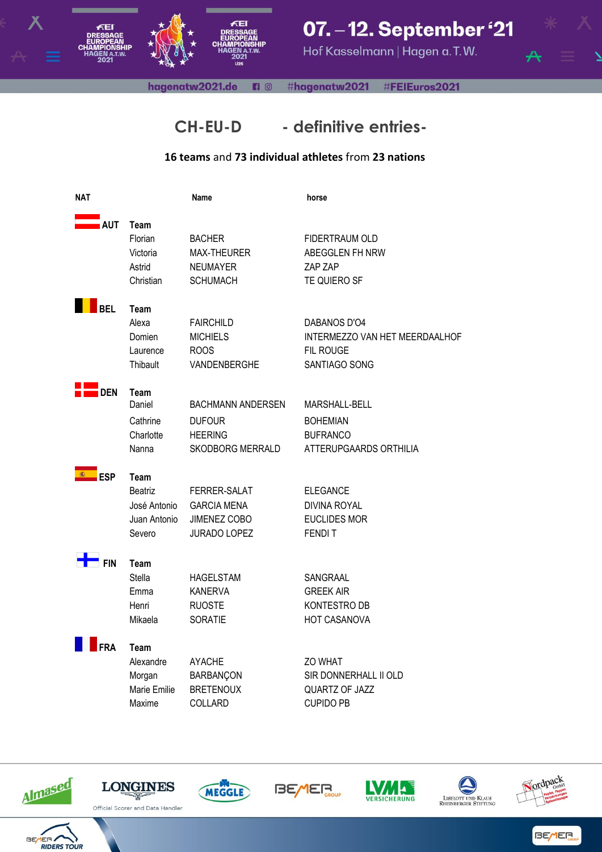

### 07. - 12. September '21

Hof Kasselmann | Hagen a.T.W.

hagenatw2021.de **n** © #hagenatw2021 #FEIEuros2021



### **CH-EU-D - definitive entries-**

#### **16 teams** and **73 individual athletes** from **23 nations**

| <b>NAT</b>        |                                                                  | <b>Name</b>                                                                            | horse                                                                                |
|-------------------|------------------------------------------------------------------|----------------------------------------------------------------------------------------|--------------------------------------------------------------------------------------|
| <b>AUT</b>        | Team<br>Florian<br>Victoria<br>Astrid<br>Christian               | <b>BACHER</b><br>MAX-THEURER<br><b>NEUMAYER</b><br><b>SCHUMACH</b>                     | FIDERTRAUM OLD<br>ABEGGLEN FH NRW<br>ZAP ZAP<br>TE QUIERO SF                         |
| <b>BEL</b>        | Team<br>Alexa<br>Domien<br>Laurence<br>Thibault                  | <b>FAIRCHILD</b><br><b>MICHIELS</b><br><b>ROOS</b><br>VANDENBERGHE                     | DABANOS D'O4<br>INTERMEZZO VAN HET MEERDAALHOF<br>FIL ROUGE<br>SANTIAGO SONG         |
| <b>DEN</b>        | Team<br>Daniel<br>Cathrine<br>Charlotte<br>Nanna                 | <b>BACHMANN ANDERSEN</b><br><b>DUFOUR</b><br><b>HEERING</b><br><b>SKODBORG MERRALD</b> | <b>MARSHALL-BELL</b><br><b>BOHEMIAN</b><br><b>BUFRANCO</b><br>ATTERUPGAARDS ORTHILIA |
| (編)<br><b>ESP</b> | Team<br><b>Beatriz</b><br>José Antonio<br>Juan Antonio<br>Severo | FERRER-SALAT<br><b>GARCIA MENA</b><br>JIMENEZ COBO<br><b>JURADO LOPEZ</b>              | <b>ELEGANCE</b><br><b>DIVINA ROYAL</b><br><b>EUCLIDES MOR</b><br><b>FENDIT</b>       |
| <sup>'</sup> Fin  | Team<br>Stella<br>Emma<br>Henri<br>Mikaela                       | <b>HAGELSTAM</b><br><b>KANERVA</b><br><b>RUOSTE</b><br><b>SORATIE</b>                  | SANGRAAL<br><b>GREEK AIR</b><br>KONTESTRO DB<br><b>HOT CASANOVA</b>                  |
| FRA               | Team<br>Alexandre<br>Morgan<br>Marie Emilie<br>Maxime            | <b>AYACHE</b><br><b>BARBANÇON</b><br><b>BRETENOUX</b><br>COLLARD                       | ZO WHAT<br>SIR DONNERHALL II OLD<br>QUARTZ OF JAZZ<br><b>CUPIDO PB</b>               |





















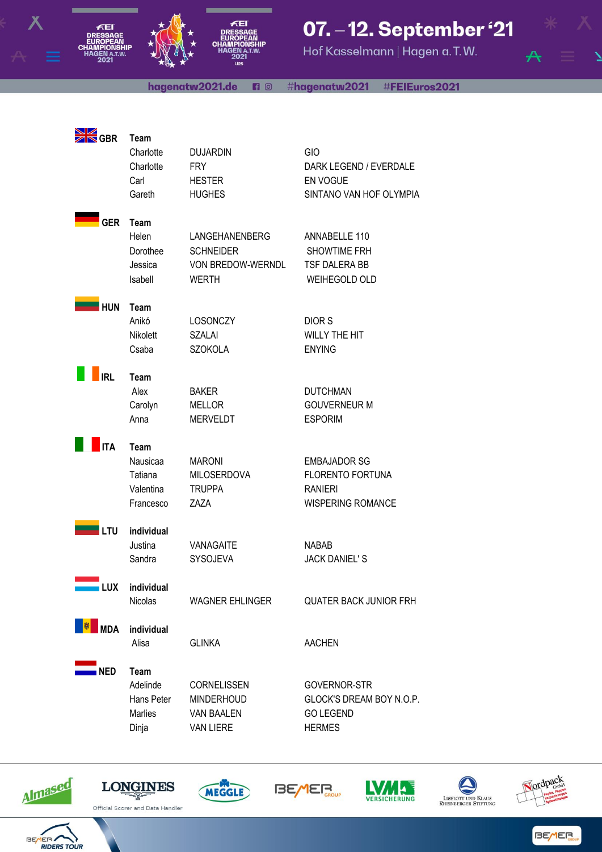

# 07. - 12. September '21

Hof Kasselmann | Hagen a.T.W.

hagenatw2021.de 6 € #hagenatw2021 #FEIEuros2021



 $\frac{N}{N}$ 

ÆEI

| $\boxtimes$ GBR | Team<br>Charlotte<br>Charlotte<br>Carl<br>Gareth      | <b>DUJARDIN</b><br><b>FRY</b><br><b>HESTER</b><br><b>HUGHES</b>                | GIO<br>DARK LEGEND / EVERDALE<br>EN VOGUE<br>SINTANO VAN HOF OLYMPIA                         |
|-----------------|-------------------------------------------------------|--------------------------------------------------------------------------------|----------------------------------------------------------------------------------------------|
| <b>GER</b>      | Team<br>Helen<br>Dorothee<br>Jessica<br>Isabell       | LANGEHANENBERG<br><b>SCHNEIDER</b><br><b>VON BREDOW-WERNDL</b><br><b>WERTH</b> | ANNABELLE 110<br>SHOWTIME FRH<br>TSF DALERA BB<br><b>WEIHEGOLD OLD</b>                       |
| <b>HUN</b>      | Team<br>Anikó<br>Nikolett<br>Csaba                    | <b>LOSONCZY</b><br><b>SZALAI</b><br><b>SZOKOLA</b>                             | <b>DIORS</b><br><b>WILLY THE HIT</b><br><b>ENYING</b>                                        |
| <b>IRL</b>      | Team<br>Alex<br>Carolyn<br>Anna                       | <b>BAKER</b><br><b>MELLOR</b><br><b>MERVELDT</b>                               | <b>DUTCHMAN</b><br><b>GOUVERNEUR M</b><br><b>ESPORIM</b>                                     |
| <b>ITA</b>      | Team<br>Nausicaa<br>Tatiana<br>Valentina<br>Francesco | <b>MARONI</b><br><b>MILOSERDOVA</b><br><b>TRUPPA</b><br>ZAZA                   | <b>EMBAJADOR SG</b><br><b>FLORENTO FORTUNA</b><br><b>RANIERI</b><br><b>WISPERING ROMANCE</b> |
| LTU             | individual<br>Justina<br>Sandra                       | <b>VANAGAITE</b><br>SYSOJEVA                                                   | <b>NABAB</b><br><b>JACK DANIEL'S</b>                                                         |
| <b>LUX</b>      | individual<br>Nicolas                                 | <b>WAGNER EHLINGER</b>                                                         | <b>QUATER BACK JUNIOR FRH</b>                                                                |
| <b>MDA</b>      | individual<br>Alisa                                   | <b>GLINKA</b>                                                                  | <b>AACHEN</b>                                                                                |
|                 |                                                       |                                                                                |                                                                                              |



















**BEMER**